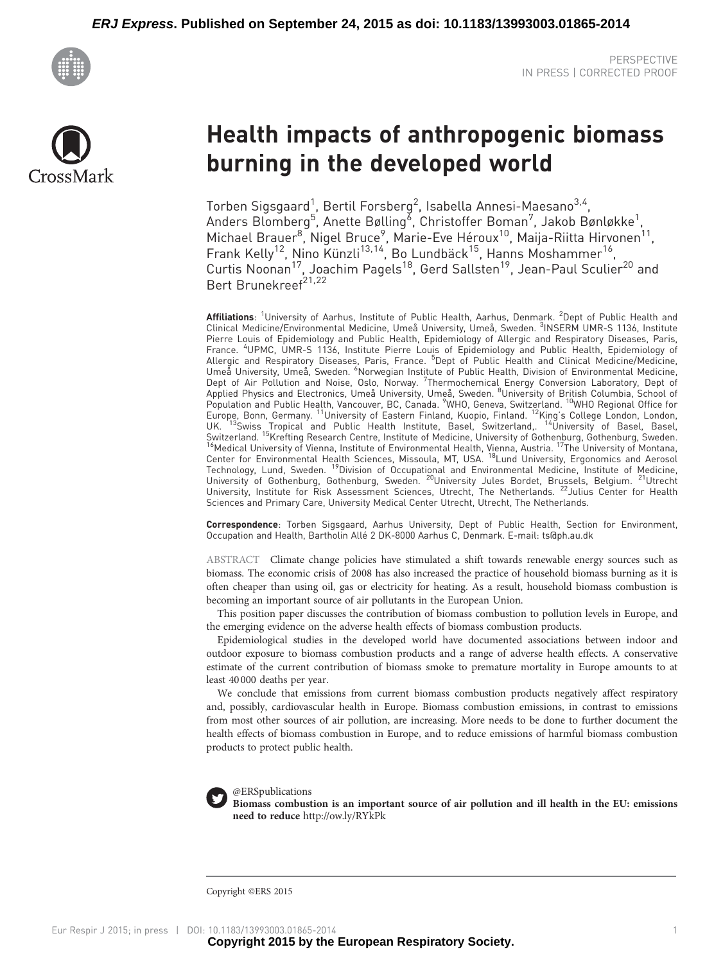



# Health impacts of anthropogenic biomass burning in the developed world

Torben Sigsgaard<sup>1</sup>, Bertil Forsberg<sup>2</sup>, Isabella Annesi-Maesano<sup>3,4</sup>, Anders Blomberg<sup>5</sup>, Anette Bølling<sup>8</sup>, Christoffer Boman<sup>7</sup>, Jakob Bønløkke<sup>1</sup>, Michael Brauer<sup>8</sup>, Nigel Bruce<sup>9</sup>, Marie-Eve Héroux<sup>10</sup>, Maija-Riitta Hirvonen<sup>11</sup>, Frank Kelly<sup>12</sup>, Nino Künzli<sup>13,14</sup>, Bo Lundbäck<sup>15</sup>, Hanns Moshammer<sup>16</sup>, Curtis Noonan<sup>17</sup>, Joachim Pagels<sup>18</sup>, Gerd Sallsten<sup>19</sup>, Jean-Paul Sculier<sup>20</sup> and Bert Brunekreef<sup>21,22</sup>

**Affiliations**: <sup>1</sup>University of Aarhus, Institute of Public Health, Aarhus, Denmark. <sup>2</sup>Dept of Public Health and Clinical Medicine/Environmental Medicine, Umeå University, Umeå, Sweden. <sup>3</sup>INSERM UMR-S 1136, Institute Pierre Louis of Epidemiology and Public Health, Epidemiology of Allergic and Respiratory Diseases, Paris, France. <sup>4</sup> UPMC, UMR-S 1136, Institute Pierre Louis of Epidemiology and Public Health, Epidemiology of Allergic and Respiratory Diseases, Paris, France. <sup>5</sup>Dept of Public Health and Clinical Medicine/Medicine, Umeå University, Umeå, Sweden. <sup>6</sup>Norwegian Institute of Public Health, Division of Environmental Medicine, Dept of Air Pollution and Noise, Oslo, Norway. <sup>7</sup>Thermochemical Energy Conversion Laboratory, Dept of Applied Physics and Electronics, Umeå University, Umeå, Sweden. <sup>8</sup>University of British Columbia, School of Population and Public Health, Vancouver, BC, Canada. <sup>9</sup>WHO, Geneva, Switzerland. <sup>10</sup>WHO Regional Office for Europe, Bonn, Germany. 11University of Eastern Finland, Kuopio, Finland. 12King's College London, London, UK. 13Swiss Tropical and Public Health Institute, Basel, Switzerland,. 14University of Basel, Basel, Basel, Switzerland, 14University of Basel, Basel, Switzerland, 14University of Basel, Basel, Switzerland, 14University of Switzerland. <sup>15</sup>Krefting Research Centre, Institute of Medicine, University of Gothenburg, Gothenburg, Sweden.<br><sup>16</sup>Medical University of Vienna, Institute of Environmental Health, Vienna, Austria. <sup>17</sup>The University of Mo Center for Environmental Health Sciences, Missoula, MT, USA. <sup>18</sup>Lund University, Ergonomics and Aerosol Technology, Lund, Sweden. 19Division of Occupational and Environmental Medicine, Institute of Medicine, University of Gothenburg, Gothenburg, Sweden. <sup>20</sup>University Jules Bordet, Brussels, Belgium. <sup>21</sup>Utrecht University, Institute for Risk Assessment Sciences, Utrecht, The Netherlands. <sup>22</sup>Julius Center for Health Sciences and Primary Care, University Medical Center Utrecht, Utrecht, The Netherlands.

Correspondence: Torben Sigsgaard, Aarhus University, Dept of Public Health, Section for Environment, Occupation and Health, Bartholin Allé 2 DK-8000 Aarhus C, Denmark. E-mail: [ts@ph.au.dk](mailto:ts@ph.au.dk)

ABSTRACT Climate change policies have stimulated a shift towards renewable energy sources such as biomass. The economic crisis of 2008 has also increased the practice of household biomass burning as it is often cheaper than using oil, gas or electricity for heating. As a result, household biomass combustion is becoming an important source of air pollutants in the European Union.

This position paper discusses the contribution of biomass combustion to pollution levels in Europe, and the emerging evidence on the adverse health effects of biomass combustion products.

Epidemiological studies in the developed world have documented associations between indoor and outdoor exposure to biomass combustion products and a range of adverse health effects. A conservative estimate of the current contribution of biomass smoke to premature mortality in Europe amounts to at least 40 000 deaths per year.

We conclude that emissions from current biomass combustion products negatively affect respiratory and, possibly, cardiovascular health in Europe. Biomass combustion emissions, in contrast to emissions from most other sources of air pollution, are increasing. More needs to be done to further document the health effects of biomass combustion in Europe, and to reduce emissions of harmful biomass combustion products to protect public health.



@ERSpublications

Biomass combustion is an important source of air pollution and ill health in the EU: emissions need to reduce <http://ow.ly/RYkPk>

Copyright ©ERS 2015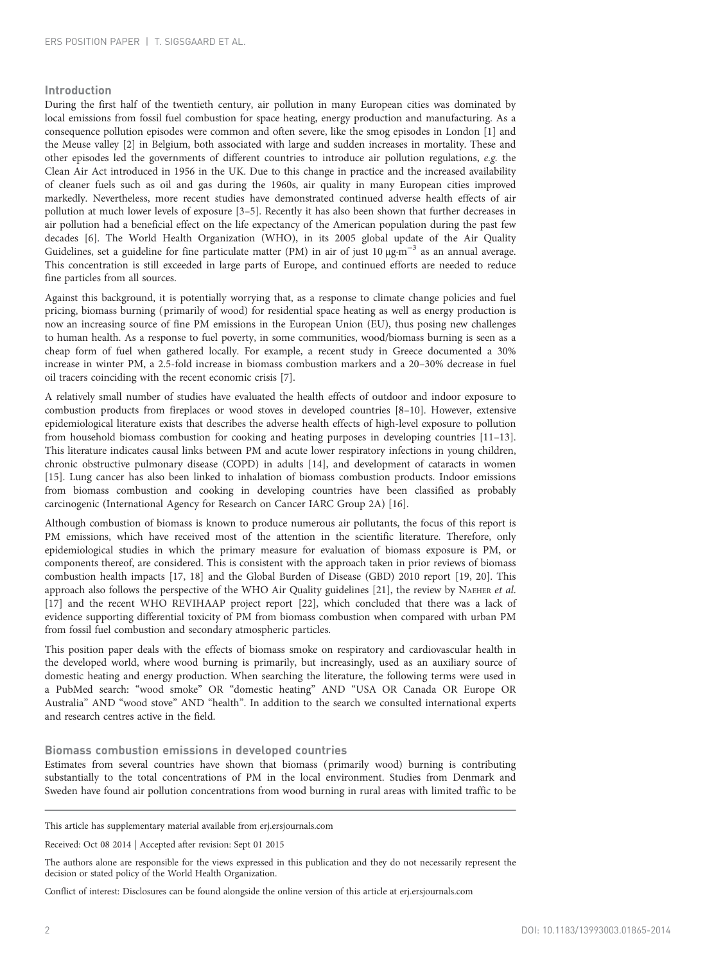# Introduction

During the first half of the twentieth century, air pollution in many European cities was dominated by local emissions from fossil fuel combustion for space heating, energy production and manufacturing. As a consequence pollution episodes were common and often severe, like the smog episodes in London [\[1\]](#page-7-0) and the Meuse valley [\[2\]](#page-7-0) in Belgium, both associated with large and sudden increases in mortality. These and other episodes led the governments of different countries to introduce air pollution regulations, e.g. the Clean Air Act introduced in 1956 in the UK. Due to this change in practice and the increased availability of cleaner fuels such as oil and gas during the 1960s, air quality in many European cities improved markedly. Nevertheless, more recent studies have demonstrated continued adverse health effects of air pollution at much lower levels of exposure [\[3](#page-7-0)–[5](#page-7-0)]. Recently it has also been shown that further decreases in air pollution had a beneficial effect on the life expectancy of the American population during the past few decades [[6](#page-8-0)]. The World Health Organization (WHO), in its 2005 global update of the Air Quality Guidelines, set a guideline for fine particulate matter (PM) in air of just 10  $\mu$ g·m<sup>-3</sup> as an annual average. This concentration is still exceeded in large parts of Europe, and continued efforts are needed to reduce fine particles from all sources.

Against this background, it is potentially worrying that, as a response to climate change policies and fuel pricing, biomass burning ( primarily of wood) for residential space heating as well as energy production is now an increasing source of fine PM emissions in the European Union (EU), thus posing new challenges to human health. As a response to fuel poverty, in some communities, wood/biomass burning is seen as a cheap form of fuel when gathered locally. For example, a recent study in Greece documented a 30% increase in winter PM, a 2.5-fold increase in biomass combustion markers and a 20–30% decrease in fuel oil tracers coinciding with the recent economic crisis [[7](#page-8-0)].

A relatively small number of studies have evaluated the health effects of outdoor and indoor exposure to combustion products from fireplaces or wood stoves in developed countries [[8](#page-8-0)–[10](#page-8-0)]. However, extensive epidemiological literature exists that describes the adverse health effects of high-level exposure to pollution from household biomass combustion for cooking and heating purposes in developing countries [\[11](#page-8-0)–[13](#page-8-0)]. This literature indicates causal links between PM and acute lower respiratory infections in young children, chronic obstructive pulmonary disease (COPD) in adults [[14\]](#page-8-0), and development of cataracts in women [[15\]](#page-8-0). Lung cancer has also been linked to inhalation of biomass combustion products. Indoor emissions from biomass combustion and cooking in developing countries have been classified as probably carcinogenic (International Agency for Research on Cancer IARC Group 2A) [\[16\]](#page-8-0).

Although combustion of biomass is known to produce numerous air pollutants, the focus of this report is PM emissions, which have received most of the attention in the scientific literature. Therefore, only epidemiological studies in which the primary measure for evaluation of biomass exposure is PM, or components thereof, are considered. This is consistent with the approach taken in prior reviews of biomass combustion health impacts [\[17](#page-8-0), [18\]](#page-8-0) and the Global Burden of Disease (GBD) 2010 report [\[19, 20\]](#page-8-0). This approach also follows the perspective of the WHO Air Quality guidelines [[21\]](#page-8-0), the review by NAEHER et al. [[17\]](#page-8-0) and the recent WHO REVIHAAP project report [[22](#page-8-0)], which concluded that there was a lack of evidence supporting differential toxicity of PM from biomass combustion when compared with urban PM from fossil fuel combustion and secondary atmospheric particles.

This position paper deals with the effects of biomass smoke on respiratory and cardiovascular health in the developed world, where wood burning is primarily, but increasingly, used as an auxiliary source of domestic heating and energy production. When searching the literature, the following terms were used in a PubMed search: "wood smoke" OR "domestic heating" AND "USA OR Canada OR Europe OR Australia" AND "wood stove" AND "health". In addition to the search we consulted international experts and research centres active in the field.

### Biomass combustion emissions in developed countries

Estimates from several countries have shown that biomass ( primarily wood) burning is contributing substantially to the total concentrations of PM in the local environment. Studies from Denmark and Sweden have found air pollution concentrations from wood burning in rural areas with limited traffic to be

This article has supplementary material available from<erj.ersjournals.com>

Received: Oct 08 2014 | Accepted after revision: Sept 01 2015

The authors alone are responsible for the views expressed in this publication and they do not necessarily represent the decision or stated policy of the World Health Organization.

Conflict of interest: Disclosures can be found alongside the online version of this article at<erj.ersjournals.com>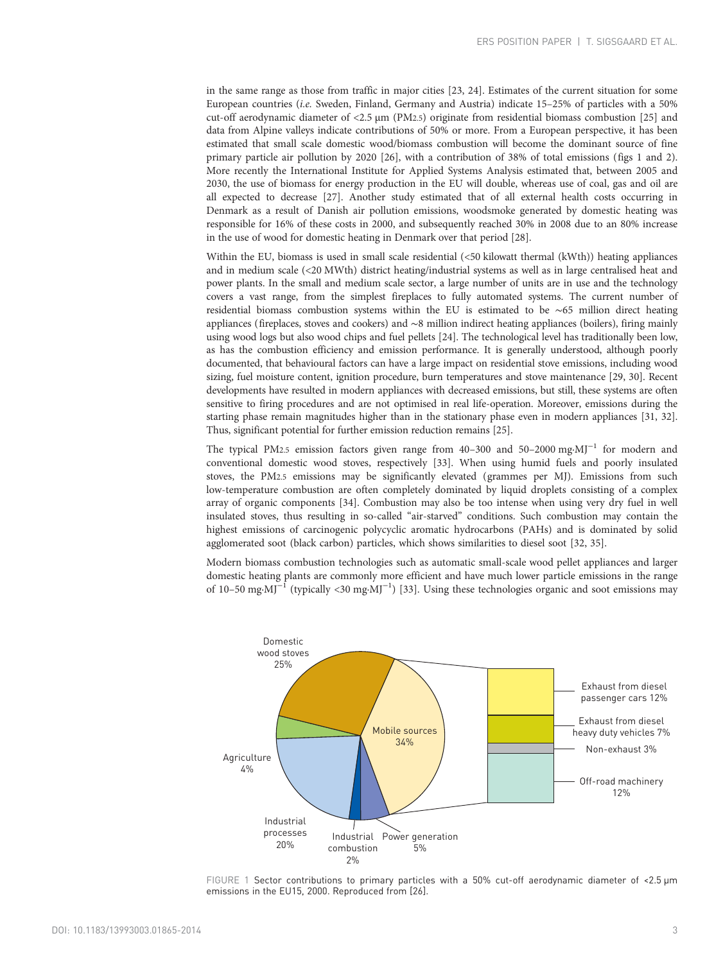in the same range as those from traffic in major cities [\[23, 24](#page-8-0)]. Estimates of the current situation for some European countries (i.e. Sweden, Finland, Germany and Austria) indicate 15-25% of particles with a 50% cut-off aerodynamic diameter of <2.5 μm (PM2.5) originate from residential biomass combustion [\[25\]](#page-8-0) and data from Alpine valleys indicate contributions of 50% or more. From a European perspective, it has been estimated that small scale domestic wood/biomass combustion will become the dominant source of fine primary particle air pollution by 2020 [[26](#page-8-0)], with a contribution of 38% of total emissions (figs 1 and [2](#page-3-0)). More recently the International Institute for Applied Systems Analysis estimated that, between 2005 and 2030, the use of biomass for energy production in the EU will double, whereas use of coal, gas and oil are all expected to decrease [\[27\]](#page-8-0). Another study estimated that of all external health costs occurring in Denmark as a result of Danish air pollution emissions, woodsmoke generated by domestic heating was responsible for 16% of these costs in 2000, and subsequently reached 30% in 2008 due to an 80% increase in the use of wood for domestic heating in Denmark over that period [\[28\]](#page-8-0).

Within the EU, biomass is used in small scale residential (<50 kilowatt thermal (kWth)) heating appliances and in medium scale (<20 MWth) district heating/industrial systems as well as in large centralised heat and power plants. In the small and medium scale sector, a large number of units are in use and the technology covers a vast range, from the simplest fireplaces to fully automated systems. The current number of residential biomass combustion systems within the EU is estimated to be ∼65 million direct heating appliances (fireplaces, stoves and cookers) and ∼8 million indirect heating appliances (boilers), firing mainly using wood logs but also wood chips and fuel pellets [\[24\]](#page-8-0). The technological level has traditionally been low, as has the combustion efficiency and emission performance. It is generally understood, although poorly documented, that behavioural factors can have a large impact on residential stove emissions, including wood sizing, fuel moisture content, ignition procedure, burn temperatures and stove maintenance [[29](#page-8-0), [30\]](#page-8-0). Recent developments have resulted in modern appliances with decreased emissions, but still, these systems are often sensitive to firing procedures and are not optimised in real life-operation. Moreover, emissions during the starting phase remain magnitudes higher than in the stationary phase even in modern appliances [\[31, 32](#page-8-0)]. Thus, significant potential for further emission reduction remains [\[25\]](#page-8-0).

The typical PM2.5 emission factors given range from 40–300 and 50–2000 mg·MJ<sup>-1</sup> for modern and conventional domestic wood stoves, respectively [[33\]](#page-8-0). When using humid fuels and poorly insulated stoves, the PM2.5 emissions may be significantly elevated (grammes per MJ). Emissions from such low-temperature combustion are often completely dominated by liquid droplets consisting of a complex array of organic components [[34](#page-8-0)]. Combustion may also be too intense when using very dry fuel in well insulated stoves, thus resulting in so-called "air-starved" conditions. Such combustion may contain the highest emissions of carcinogenic polycyclic aromatic hydrocarbons (PAHs) and is dominated by solid agglomerated soot (black carbon) particles, which shows similarities to diesel soot [\[32, 35\]](#page-8-0).

Modern biomass combustion technologies such as automatic small-scale wood pellet appliances and larger domestic heating plants are commonly more efficient and have much lower particle emissions in the range of 10–50 mg·MJ<sup>-1</sup> (typically <30 mg·MJ<sup>-1</sup>) [\[33\]](#page-8-0). Using these technologies organic and soot emissions may



FIGURE 1 Sector contributions to primary particles with a 50% cut-off aerodynamic diameter of <2.5 µm emissions in the EU15, 2000. Reproduced from [\[26](#page-8-0)].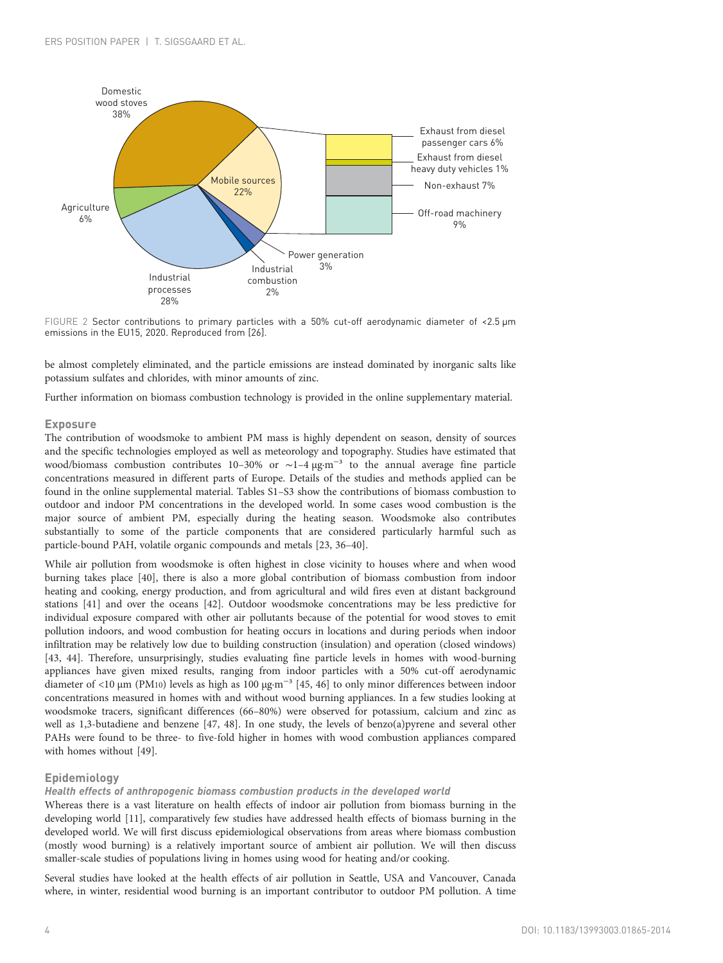<span id="page-3-0"></span>

FIGURE 2 Sector contributions to primary particles with a 50% cut-off aerodynamic diameter of <2.5 µm emissions in the EU15, 2020. Reproduced from [[26](#page-8-0)].

be almost completely eliminated, and the particle emissions are instead dominated by inorganic salts like potassium sulfates and chlorides, with minor amounts of zinc.

Further information on biomass combustion technology is provided in the online supplementary material.

# Exposure

The contribution of woodsmoke to ambient PM mass is highly dependent on season, density of sources and the specific technologies employed as well as meteorology and topography. Studies have estimated that wood/biomass combustion contributes 10–30% or  $\sim$ 1–4  $\mu$ g·m<sup>-3</sup> to the annual average fine particle concentrations measured in different parts of Europe. Details of the studies and methods applied can be found in the online supplemental material. Tables S1–S3 show the contributions of biomass combustion to outdoor and indoor PM concentrations in the developed world. In some cases wood combustion is the major source of ambient PM, especially during the heating season. Woodsmoke also contributes substantially to some of the particle components that are considered particularly harmful such as particle-bound PAH, volatile organic compounds and metals [\[23, 36](#page-8-0)–[40](#page-8-0)].

While air pollution from woodsmoke is often highest in close vicinity to houses where and when wood burning takes place [[40](#page-8-0)], there is also a more global contribution of biomass combustion from indoor heating and cooking, energy production, and from agricultural and wild fires even at distant background stations [\[41\]](#page-8-0) and over the oceans [[42](#page-9-0)]. Outdoor woodsmoke concentrations may be less predictive for individual exposure compared with other air pollutants because of the potential for wood stoves to emit pollution indoors, and wood combustion for heating occurs in locations and during periods when indoor infiltration may be relatively low due to building construction (insulation) and operation (closed windows) [[43, 44](#page-9-0)]. Therefore, unsurprisingly, studies evaluating fine particle levels in homes with wood-burning appliances have given mixed results, ranging from indoor particles with a 50% cut-off aerodynamic diameter of <10 μm (PM10) levels as high as 100 μg·m−³ [[45](#page-9-0), [46\]](#page-9-0) to only minor differences between indoor concentrations measured in homes with and without wood burning appliances. In a few studies looking at woodsmoke tracers, significant differences (66–80%) were observed for potassium, calcium and zinc as well as 1,3-butadiene and benzene [[47](#page-9-0), [48](#page-9-0)]. In one study, the levels of benzo(a)pyrene and several other PAHs were found to be three- to five-fold higher in homes with wood combustion appliances compared with homes without [[49](#page-9-0)].

# Epidemiology

Health effects of anthropogenic biomass combustion products in the developed world

Whereas there is a vast literature on health effects of indoor air pollution from biomass burning in the developing world [\[11\]](#page-8-0), comparatively few studies have addressed health effects of biomass burning in the developed world. We will first discuss epidemiological observations from areas where biomass combustion (mostly wood burning) is a relatively important source of ambient air pollution. We will then discuss smaller-scale studies of populations living in homes using wood for heating and/or cooking.

Several studies have looked at the health effects of air pollution in Seattle, USA and Vancouver, Canada where, in winter, residential wood burning is an important contributor to outdoor PM pollution. A time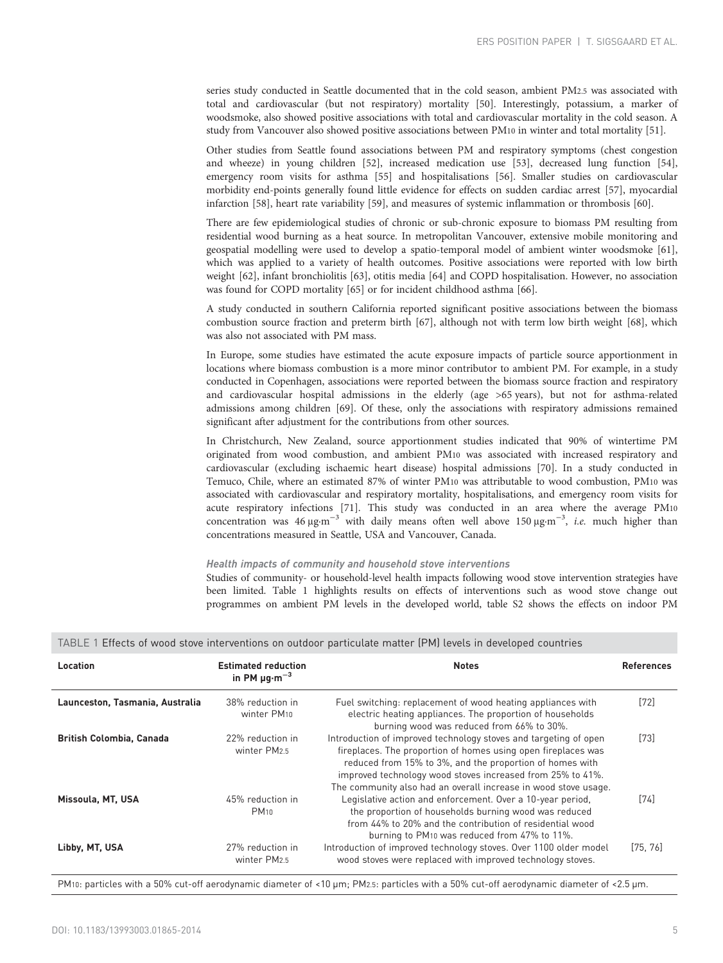series study conducted in Seattle documented that in the cold season, ambient PM2.5 was associated with total and cardiovascular (but not respiratory) mortality [\[50\]](#page-9-0). Interestingly, potassium, a marker of woodsmoke, also showed positive associations with total and cardiovascular mortality in the cold season. A study from Vancouver also showed positive associations between PM10 in winter and total mortality [\[51\]](#page-9-0).

Other studies from Seattle found associations between PM and respiratory symptoms (chest congestion and wheeze) in young children [[52](#page-9-0)], increased medication use [\[53\]](#page-9-0), decreased lung function [[54](#page-9-0)], emergency room visits for asthma [[55](#page-9-0)] and hospitalisations [\[56\]](#page-9-0). Smaller studies on cardiovascular morbidity end-points generally found little evidence for effects on sudden cardiac arrest [[57](#page-9-0)], myocardial infarction [[58\]](#page-9-0), heart rate variability [\[59\]](#page-9-0), and measures of systemic inflammation or thrombosis [\[60\]](#page-9-0).

There are few epidemiological studies of chronic or sub-chronic exposure to biomass PM resulting from residential wood burning as a heat source. In metropolitan Vancouver, extensive mobile monitoring and geospatial modelling were used to develop a spatio-temporal model of ambient winter woodsmoke [[61](#page-9-0)], which was applied to a variety of health outcomes. Positive associations were reported with low birth weight [[62\]](#page-9-0), infant bronchiolitis [[63](#page-9-0)], otitis media [\[64\]](#page-9-0) and COPD hospitalisation. However, no association was found for COPD mortality [[65](#page-9-0)] or for incident childhood asthma [\[66\]](#page-9-0).

A study conducted in southern California reported significant positive associations between the biomass combustion source fraction and preterm birth [\[67](#page-9-0)], although not with term low birth weight [[68](#page-9-0)], which was also not associated with PM mass.

In Europe, some studies have estimated the acute exposure impacts of particle source apportionment in locations where biomass combustion is a more minor contributor to ambient PM. For example, in a study conducted in Copenhagen, associations were reported between the biomass source fraction and respiratory and cardiovascular hospital admissions in the elderly (age >65 years), but not for asthma-related admissions among children [[69\]](#page-9-0). Of these, only the associations with respiratory admissions remained significant after adjustment for the contributions from other sources.

In Christchurch, New Zealand, source apportionment studies indicated that 90% of wintertime PM originated from wood combustion, and ambient PM10 was associated with increased respiratory and cardiovascular (excluding ischaemic heart disease) hospital admissions [\[70](#page-9-0)]. In a study conducted in Temuco, Chile, where an estimated 87% of winter PM10 was attributable to wood combustion, PM10 was associated with cardiovascular and respiratory mortality, hospitalisations, and emergency room visits for acute respiratory infections [[71](#page-9-0)]. This study was conducted in an area where the average PM10 concentration was 46  $\mu$ g·m<sup>-3</sup> with daily means often well above 150  $\mu$ g·m<sup>-3</sup>, *i.e.* much higher than concentrations measured in Seattle, USA and Vancouver, Canada.

#### Health impacts of community and household stove interventions

Studies of community- or household-level health impacts following wood stove intervention strategies have been limited. Table 1 highlights results on effects of interventions such as wood stove change out programmes on ambient PM levels in the developed world, table S2 shows the effects on indoor PM

| Location                                                                                                                                                                                                                       | <b>Estimated reduction</b><br>in PM $\mu$ g·m <sup>-3</sup> | <b>Notes</b>                                                                                                                                                                                                                                                                                                                   | <b>References</b> |
|--------------------------------------------------------------------------------------------------------------------------------------------------------------------------------------------------------------------------------|-------------------------------------------------------------|--------------------------------------------------------------------------------------------------------------------------------------------------------------------------------------------------------------------------------------------------------------------------------------------------------------------------------|-------------------|
| Launceston, Tasmania, Australia                                                                                                                                                                                                | 38% reduction in<br>winter PM10                             | Fuel switching: replacement of wood heating appliances with<br>electric heating appliances. The proportion of households<br>burning wood was reduced from 66% to 30%.                                                                                                                                                          | $[72]$            |
| <b>British Colombia, Canada</b>                                                                                                                                                                                                | 22% reduction in<br>winter PM2.5                            | Introduction of improved technology stoves and targeting of open<br>fireplaces. The proportion of homes using open fireplaces was<br>reduced from 15% to 3%, and the proportion of homes with<br>improved technology wood stoves increased from 25% to 41%.<br>The community also had an overall increase in wood stove usage. | $[73]$            |
| Missoula, MT, USA                                                                                                                                                                                                              | 45% reduction in<br>$PM_{10}$                               | Legislative action and enforcement. Over a 10-year period.<br>the proportion of households burning wood was reduced<br>from 44% to 20% and the contribution of residential wood<br>burning to PM10 was reduced from 47% to 11%.                                                                                                | $[74]$            |
| Libby, MT, USA                                                                                                                                                                                                                 | 27% reduction in<br>winter PM <sub>2.5</sub>                | Introduction of improved technology stoves. Over 1100 older model<br>wood stoves were replaced with improved technology stoves.                                                                                                                                                                                                | [75, 76]          |
| musical different and the contract of the model of the contract of the contract of the contract of the contract of the contract of the contract of the contract of the contract of the contract of the contract of the contrac |                                                             |                                                                                                                                                                                                                                                                                                                                |                   |

### TABLE 1 Effects of wood stove interventions on outdoor particulate matter (PM) levels in developed countries

PM10: particles with a 50% cut-off aerodynamic diameter of <10 µm; PM2.5: particles with a 50% cut-off aerodynamic diameter of <2.5 µm.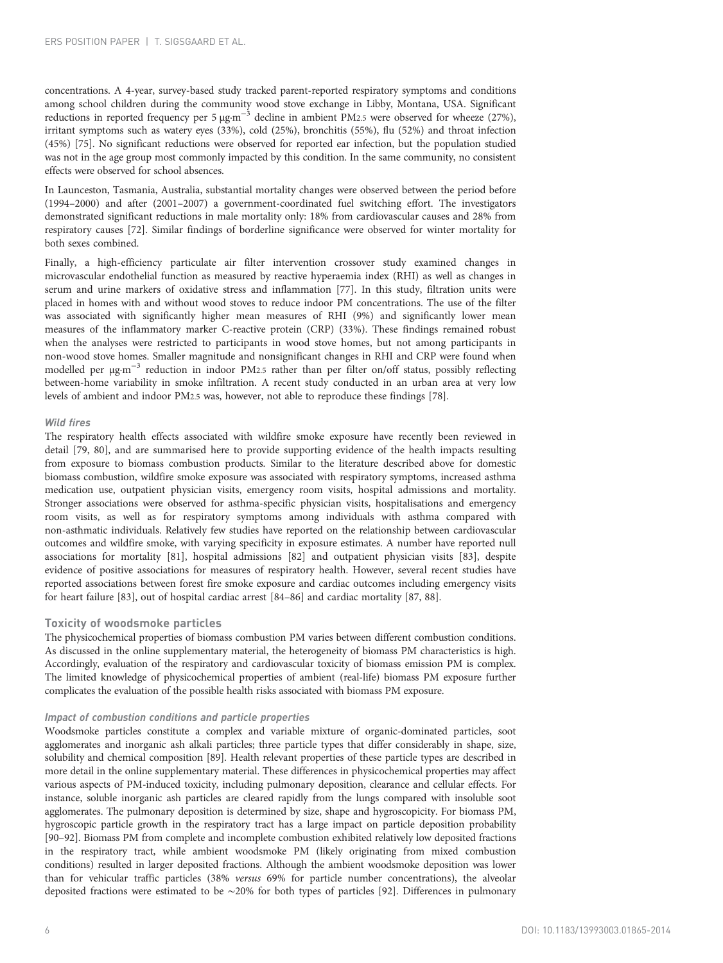concentrations. A 4-year, survey-based study tracked parent-reported respiratory symptoms and conditions among school children during the community wood stove exchange in Libby, Montana, USA. Significant reductions in reported frequency per 5 μg·m<sup>-3</sup> decline in ambient PM2.5 were observed for wheeze (27%), irritant symptoms such as watery eyes (33%), cold (25%), bronchitis (55%), flu (52%) and throat infection (45%) [[75](#page-9-0)]. No significant reductions were observed for reported ear infection, but the population studied was not in the age group most commonly impacted by this condition. In the same community, no consistent effects were observed for school absences.

In Launceston, Tasmania, Australia, substantial mortality changes were observed between the period before (1994–2000) and after (2001–2007) a government-coordinated fuel switching effort. The investigators demonstrated significant reductions in male mortality only: 18% from cardiovascular causes and 28% from respiratory causes [\[72\]](#page-9-0). Similar findings of borderline significance were observed for winter mortality for both sexes combined.

Finally, a high-efficiency particulate air filter intervention crossover study examined changes in microvascular endothelial function as measured by reactive hyperaemia index (RHI) as well as changes in serum and urine markers of oxidative stress and inflammation [\[77\]](#page-9-0). In this study, filtration units were placed in homes with and without wood stoves to reduce indoor PM concentrations. The use of the filter was associated with significantly higher mean measures of RHI (9%) and significantly lower mean measures of the inflammatory marker C-reactive protein (CRP) (33%). These findings remained robust when the analyses were restricted to participants in wood stove homes, but not among participants in non-wood stove homes. Smaller magnitude and nonsignificant changes in RHI and CRP were found when modelled per μg·m<sup>-3</sup> reduction in indoor PM2.5 rather than per filter on/off status, possibly reflecting between-home variability in smoke infiltration. A recent study conducted in an urban area at very low levels of ambient and indoor PM2.5 was, however, not able to reproduce these findings [\[78\]](#page-10-0).

## Wild fires

The respiratory health effects associated with wildfire smoke exposure have recently been reviewed in detail [\[79, 80](#page-10-0)], and are summarised here to provide supporting evidence of the health impacts resulting from exposure to biomass combustion products. Similar to the literature described above for domestic biomass combustion, wildfire smoke exposure was associated with respiratory symptoms, increased asthma medication use, outpatient physician visits, emergency room visits, hospital admissions and mortality. Stronger associations were observed for asthma-specific physician visits, hospitalisations and emergency room visits, as well as for respiratory symptoms among individuals with asthma compared with non-asthmatic individuals. Relatively few studies have reported on the relationship between cardiovascular outcomes and wildfire smoke, with varying specificity in exposure estimates. A number have reported null associations for mortality [[81](#page-10-0)], hospital admissions [\[82\]](#page-10-0) and outpatient physician visits [\[83](#page-10-0)], despite evidence of positive associations for measures of respiratory health. However, several recent studies have reported associations between forest fire smoke exposure and cardiac outcomes including emergency visits for heart failure [[83](#page-10-0)], out of hospital cardiac arrest [[84](#page-10-0)–[86\]](#page-10-0) and cardiac mortality [[87](#page-10-0), [88\]](#page-10-0).

# Toxicity of woodsmoke particles

The physicochemical properties of biomass combustion PM varies between different combustion conditions. As discussed in the online supplementary material, the heterogeneity of biomass PM characteristics is high. Accordingly, evaluation of the respiratory and cardiovascular toxicity of biomass emission PM is complex. The limited knowledge of physicochemical properties of ambient (real-life) biomass PM exposure further complicates the evaluation of the possible health risks associated with biomass PM exposure.

## Impact of combustion conditions and particle properties

Woodsmoke particles constitute a complex and variable mixture of organic-dominated particles, soot agglomerates and inorganic ash alkali particles; three particle types that differ considerably in shape, size, solubility and chemical composition [\[89\]](#page-10-0). Health relevant properties of these particle types are described in more detail in the online supplementary material. These differences in physicochemical properties may affect various aspects of PM-induced toxicity, including pulmonary deposition, clearance and cellular effects. For instance, soluble inorganic ash particles are cleared rapidly from the lungs compared with insoluble soot agglomerates. The pulmonary deposition is determined by size, shape and hygroscopicity. For biomass PM, hygroscopic particle growth in the respiratory tract has a large impact on particle deposition probability [[90](#page-10-0)–[92\]](#page-10-0). Biomass PM from complete and incomplete combustion exhibited relatively low deposited fractions in the respiratory tract, while ambient woodsmoke PM (likely originating from mixed combustion conditions) resulted in larger deposited fractions. Although the ambient woodsmoke deposition was lower than for vehicular traffic particles (38% versus 69% for particle number concentrations), the alveolar deposited fractions were estimated to be ∼20% for both types of particles [[92](#page-10-0)]. Differences in pulmonary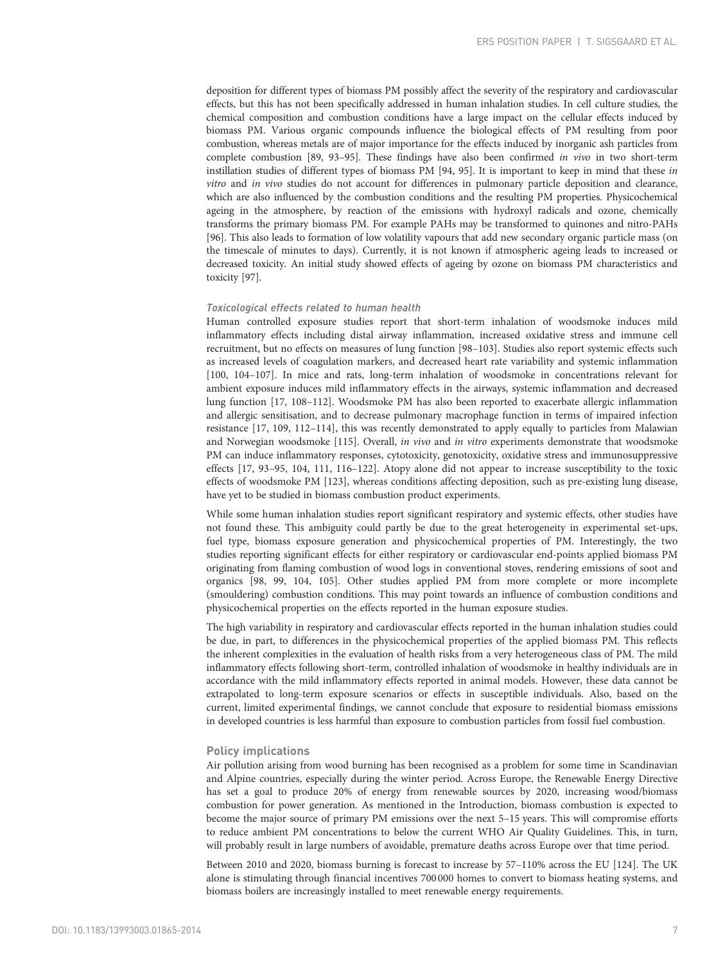deposition for different types of biomass PM possibly affect the severity of the respiratory and cardiovascular effects, but this has not been specifically addressed in human inhalation studies. In cell culture studies, the chemical composition and combustion conditions have a large impact on the cellular effects induced by biomass PM. Various organic compounds influence the biological effects of PM resulting from poor combustion, whereas metals are of major importance for the effects induced by inorganic ash particles from complete combustion [\[89, 93](#page-10-0)–[95](#page-10-0)]. These findings have also been confirmed in vivo in two short-term instillation studies of different types of biomass PM [\[94, 95](#page-10-0)]. It is important to keep in mind that these in vitro and in vivo studies do not account for differences in pulmonary particle deposition and clearance, which are also influenced by the combustion conditions and the resulting PM properties. Physicochemical ageing in the atmosphere, by reaction of the emissions with hydroxyl radicals and ozone, chemically transforms the primary biomass PM. For example PAHs may be transformed to quinones and nitro-PAHs [\[96\]](#page-10-0). This also leads to formation of low volatility vapours that add new secondary organic particle mass (on the timescale of minutes to days). Currently, it is not known if atmospheric ageing leads to increased or decreased toxicity. An initial study showed effects of ageing by ozone on biomass PM characteristics and toxicity [[97](#page-10-0)].

# Toxicological effects related to human health

Human controlled exposure studies report that short-term inhalation of woodsmoke induces mild inflammatory effects including distal airway inflammation, increased oxidative stress and immune cell recruitment, but no effects on measures of lung function [[98](#page-10-0)–[103\]](#page-10-0). Studies also report systemic effects such as increased levels of coagulation markers, and decreased heart rate variability and systemic inflammation [\[100](#page-10-0), [104](#page-10-0)–[107](#page-10-0)]. In mice and rats, long-term inhalation of woodsmoke in concentrations relevant for ambient exposure induces mild inflammatory effects in the airways, systemic inflammation and decreased lung function [\[17,](#page-8-0) [108](#page-10-0)–[112](#page-10-0)]. Woodsmoke PM has also been reported to exacerbate allergic inflammation and allergic sensitisation, and to decrease pulmonary macrophage function in terms of impaired infection resistance [[17,](#page-8-0) [109, 112](#page-10-0)–[114](#page-11-0)], this was recently demonstrated to apply equally to particles from Malawian and Norwegian woodsmoke [\[115](#page-11-0)]. Overall, in vivo and in vitro experiments demonstrate that woodsmoke PM can induce inflammatory responses, cytotoxicity, genotoxicity, oxidative stress and immunosuppressive effects [\[17,](#page-8-0) [93](#page-10-0)–[95, 104](#page-10-0), [111,](#page-10-0) [116](#page-11-0)–[122](#page-11-0)]. Atopy alone did not appear to increase susceptibility to the toxic effects of woodsmoke PM [[123\]](#page-11-0), whereas conditions affecting deposition, such as pre-existing lung disease, have yet to be studied in biomass combustion product experiments.

While some human inhalation studies report significant respiratory and systemic effects, other studies have not found these. This ambiguity could partly be due to the great heterogeneity in experimental set-ups, fuel type, biomass exposure generation and physicochemical properties of PM. Interestingly, the two studies reporting significant effects for either respiratory or cardiovascular end-points applied biomass PM originating from flaming combustion of wood logs in conventional stoves, rendering emissions of soot and organics [[98, 99, 104, 105](#page-10-0)]. Other studies applied PM from more complete or more incomplete (smouldering) combustion conditions. This may point towards an influence of combustion conditions and physicochemical properties on the effects reported in the human exposure studies.

The high variability in respiratory and cardiovascular effects reported in the human inhalation studies could be due, in part, to differences in the physicochemical properties of the applied biomass PM. This reflects the inherent complexities in the evaluation of health risks from a very heterogeneous class of PM. The mild inflammatory effects following short-term, controlled inhalation of woodsmoke in healthy individuals are in accordance with the mild inflammatory effects reported in animal models. However, these data cannot be extrapolated to long-term exposure scenarios or effects in susceptible individuals. Also, based on the current, limited experimental findings, we cannot conclude that exposure to residential biomass emissions in developed countries is less harmful than exposure to combustion particles from fossil fuel combustion.

# Policy implications

Air pollution arising from wood burning has been recognised as a problem for some time in Scandinavian and Alpine countries, especially during the winter period. Across Europe, the Renewable Energy Directive has set a goal to produce 20% of energy from renewable sources by 2020, increasing wood/biomass combustion for power generation. As mentioned in the Introduction, biomass combustion is expected to become the major source of primary PM emissions over the next 5–15 years. This will compromise efforts to reduce ambient PM concentrations to below the current WHO Air Quality Guidelines. This, in turn, will probably result in large numbers of avoidable, premature deaths across Europe over that time period.

Between 2010 and 2020, biomass burning is forecast to increase by 57–110% across the EU [\[124](#page-11-0)]. The UK alone is stimulating through financial incentives 700 000 homes to convert to biomass heating systems, and biomass boilers are increasingly installed to meet renewable energy requirements.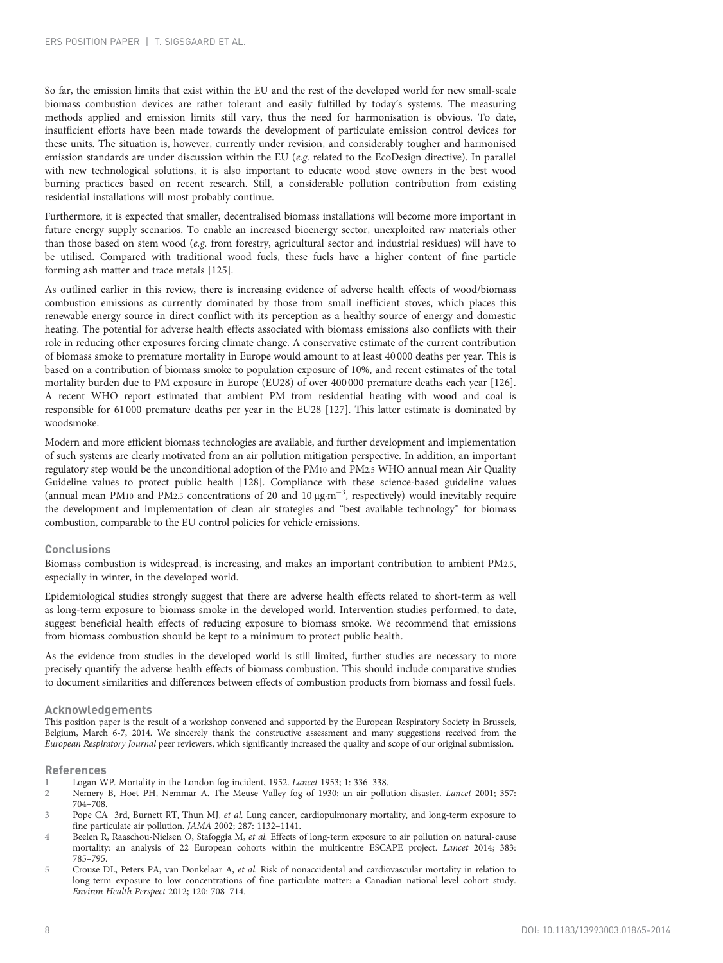<span id="page-7-0"></span>So far, the emission limits that exist within the EU and the rest of the developed world for new small-scale biomass combustion devices are rather tolerant and easily fulfilled by today's systems. The measuring methods applied and emission limits still vary, thus the need for harmonisation is obvious. To date, insufficient efforts have been made towards the development of particulate emission control devices for these units. The situation is, however, currently under revision, and considerably tougher and harmonised emission standards are under discussion within the EU (e.g. related to the EcoDesign directive). In parallel with new technological solutions, it is also important to educate wood stove owners in the best wood burning practices based on recent research. Still, a considerable pollution contribution from existing residential installations will most probably continue.

Furthermore, it is expected that smaller, decentralised biomass installations will become more important in future energy supply scenarios. To enable an increased bioenergy sector, unexploited raw materials other than those based on stem wood (e.g. from forestry, agricultural sector and industrial residues) will have to be utilised. Compared with traditional wood fuels, these fuels have a higher content of fine particle forming ash matter and trace metals [\[125](#page-11-0)].

As outlined earlier in this review, there is increasing evidence of adverse health effects of wood/biomass combustion emissions as currently dominated by those from small inefficient stoves, which places this renewable energy source in direct conflict with its perception as a healthy source of energy and domestic heating. The potential for adverse health effects associated with biomass emissions also conflicts with their role in reducing other exposures forcing climate change. A conservative estimate of the current contribution of biomass smoke to premature mortality in Europe would amount to at least 40 000 deaths per year. This is based on a contribution of biomass smoke to population exposure of 10%, and recent estimates of the total mortality burden due to PM exposure in Europe (EU28) of over 400 000 premature deaths each year [\[126](#page-11-0)]. A recent WHO report estimated that ambient PM from residential heating with wood and coal is responsible for 61 000 premature deaths per year in the EU28 [\[127](#page-11-0)]. This latter estimate is dominated by woodsmoke.

Modern and more efficient biomass technologies are available, and further development and implementation of such systems are clearly motivated from an air pollution mitigation perspective. In addition, an important regulatory step would be the unconditional adoption of the PM10 and PM2.5 WHO annual mean Air Quality Guideline values to protect public health [\[128](#page-11-0)]. Compliance with these science-based guideline values (annual mean PM10 and PM2.5 concentrations of 20 and 10 μg·m−<sup>3</sup> , respectively) would inevitably require the development and implementation of clean air strategies and "best available technology" for biomass combustion, comparable to the EU control policies for vehicle emissions.

## Conclusions

Biomass combustion is widespread, is increasing, and makes an important contribution to ambient PM2.5, especially in winter, in the developed world.

Epidemiological studies strongly suggest that there are adverse health effects related to short-term as well as long-term exposure to biomass smoke in the developed world. Intervention studies performed, to date, suggest beneficial health effects of reducing exposure to biomass smoke. We recommend that emissions from biomass combustion should be kept to a minimum to protect public health.

As the evidence from studies in the developed world is still limited, further studies are necessary to more precisely quantify the adverse health effects of biomass combustion. This should include comparative studies to document similarities and differences between effects of combustion products from biomass and fossil fuels.

#### Acknowledgements

This position paper is the result of a workshop convened and supported by the European Respiratory Society in Brussels, Belgium, March 6-7, 2014. We sincerely thank the constructive assessment and many suggestions received from the European Respiratory Journal peer reviewers, which significantly increased the quality and scope of our original submission.

#### References

- Logan WP. Mortality in the London fog incident, 1952. Lancet 1953; 1: 336-338.
- 2 Nemery B, Hoet PH, Nemmar A. The Meuse Valley fog of 1930: an air pollution disaster. Lancet 2001; 357: 704–708.
- Pope CA 3rd, Burnett RT, Thun MJ, et al. Lung cancer, cardiopulmonary mortality, and long-term exposure to fine particulate air pollution. JAMA 2002; 287: 1132–1141.
- 4 Beelen R, Raaschou-Nielsen O, Stafoggia M, et al. Effects of long-term exposure to air pollution on natural-cause mortality: an analysis of 22 European cohorts within the multicentre ESCAPE project. Lancet 2014; 383: 785–795.
- 5 Crouse DL, Peters PA, van Donkelaar A, et al. Risk of nonaccidental and cardiovascular mortality in relation to long-term exposure to low concentrations of fine particulate matter: a Canadian national-level cohort study. Environ Health Perspect 2012; 120: 708–714.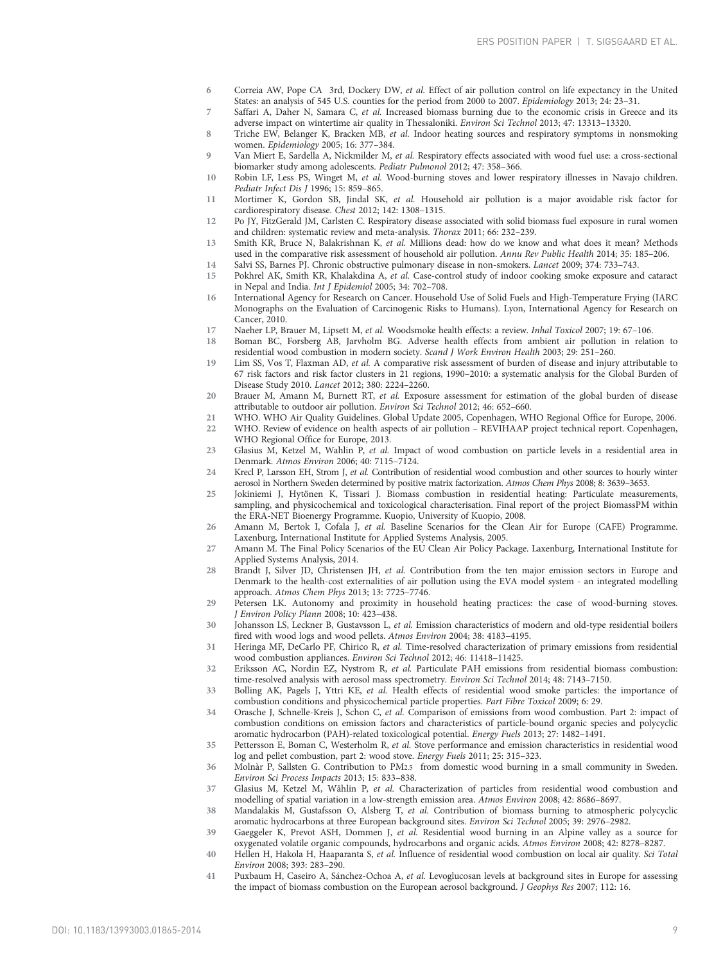- <span id="page-8-0"></span>6 Correia AW, Pope CA 3rd, Dockery DW, et al. Effect of air pollution control on life expectancy in the United States: an analysis of 545 U.S. counties for the period from 2000 to 2007. Epidemiology 2013; 24: 23–31.
- 7 Saffari A, Daher N, Samara C, et al. Increased biomass burning due to the economic crisis in Greece and its adverse impact on wintertime air quality in Thessaloniki. Environ Sci Technol 2013; 47: 13313–13320.
- 8 Triche EW, Belanger K, Bracken MB, et al. Indoor heating sources and respiratory symptoms in nonsmoking women. Epidemiology 2005; 16: 377–384.
- 9 Van Miert E, Sardella A, Nickmilder M, et al. Respiratory effects associated with wood fuel use: a cross-sectional biomarker study among adolescents. Pediatr Pulmonol 2012; 47: 358–366.
- 10 Robin LF, Less PS, Winget M, et al. Wood-burning stoves and lower respiratory illnesses in Navajo children. Pediatr Infect Dis J 1996; 15: 859–865.
- 11 Mortimer K, Gordon SB, Jindal SK, et al. Household air pollution is a major avoidable risk factor for cardiorespiratory disease. Chest 2012; 142: 1308–1315.
- 12 Po JY, FitzGerald JM, Carlsten C. Respiratory disease associated with solid biomass fuel exposure in rural women and children: systematic review and meta-analysis. Thorax 2011; 66: 232–239.
- 13 Smith KR, Bruce N, Balakrishnan K, et al. Millions dead: how do we know and what does it mean? Methods used in the comparative risk assessment of household air pollution. Annu Rev Public Health 2014; 35: 185–206.
- 14 Salvi SS, Barnes PJ. Chronic obstructive pulmonary disease in non-smokers. Lancet 2009; 374: 733–743.
- 15 Pokhrel AK, Smith KR, Khalakdina A, et al. Case-control study of indoor cooking smoke exposure and cataract in Nepal and India. Int J Epidemiol 2005; 34: 702–708.
- 16 International Agency for Research on Cancer. Household Use of Solid Fuels and High-Temperature Frying (IARC Monographs on the Evaluation of Carcinogenic Risks to Humans). Lyon, International Agency for Research on Cancer, 2010.
- 17 Naeher LP, Brauer M, Lipsett M, et al. Woodsmoke health effects: a review. Inhal Toxicol 2007; 19: 67–106.
- 18 Boman BC, Forsberg AB, Jarvholm BG. Adverse health effects from ambient air pollution in relation to residential wood combustion in modern society. Scand J Work Environ Health 2003; 29: 251–260.
- 19 Lim SS, Vos T, Flaxman AD, et al. A comparative risk assessment of burden of disease and injury attributable to 67 risk factors and risk factor clusters in 21 regions, 1990–2010: a systematic analysis for the Global Burden of Disease Study 2010. Lancet 2012; 380: 2224–2260.
- 20 Brauer M, Amann M, Burnett RT, et al. Exposure assessment for estimation of the global burden of disease attributable to outdoor air pollution. Environ Sci Technol 2012; 46: 652–660.
- 21 WHO. WHO Air Quality Guidelines. Global Update 2005, Copenhagen, WHO Regional Office for Europe, 2006.
- 22 WHO. Review of evidence on health aspects of air pollution REVIHAAP project technical report. Copenhagen, WHO Regional Office for Europe, 2013.
- 23 Glasius M, Ketzel M, Wahlin P, et al. Impact of wood combustion on particle levels in a residential area in Denmark. Atmos Environ 2006; 40: 7115–7124.
- 24 Krecl P, Larsson EH, Strom J, et al. Contribution of residential wood combustion and other sources to hourly winter aerosol in Northern Sweden determined by positive matrix factorization. Atmos Chem Phys 2008; 8: 3639–3653.
- 25 Jokiniemi J, Hytönen K, Tissari J. Biomass combustion in residential heating: Particulate measurements, sampling, and physicochemical and toxicological characterisation. Final report of the project BiomassPM within the ERA-NET Bioenergy Programme. Kuopio, University of Kuopio, 2008.
- 26 Amann M, Bertok I, Cofala J, et al. Baseline Scenarios for the Clean Air for Europe (CAFE) Programme. Laxenburg, International Institute for Applied Systems Analysis, 2005.
- 27 Amann M. The Final Policy Scenarios of the EU Clean Air Policy Package. Laxenburg, International Institute for Applied Systems Analysis, 2014.
- 28 Brandt J, Silver JD, Christensen JH, et al. Contribution from the ten major emission sectors in Europe and Denmark to the health-cost externalities of air pollution using the EVA model system - an integrated modelling approach. Atmos Chem Phys 2013; 13: 7725–7746.
- 29 Petersen LK. Autonomy and proximity in household heating practices: the case of wood-burning stoves. J Environ Policy Plann 2008; 10: 423–438.
- 30 Johansson LS, Leckner B, Gustavsson L, et al. Emission characteristics of modern and old-type residential boilers fired with wood logs and wood pellets. Atmos Environ 2004; 38: 4183–4195.
- 31 Heringa MF, DeCarlo PF, Chirico R, et al. Time-resolved characterization of primary emissions from residential wood combustion appliances. Environ Sci Technol 2012; 46: 11418–11425.
- 32 Eriksson AC, Nordin EZ, Nystrom R, et al. Particulate PAH emissions from residential biomass combustion: time-resolved analysis with aerosol mass spectrometry. Environ Sci Technol 2014; 48: 7143–7150.
- 33 Bolling AK, Pagels J, Yttri KE, et al. Health effects of residential wood smoke particles: the importance of combustion conditions and physicochemical particle properties. Part Fibre Toxicol 2009; 6: 29.
- 34 Orasche J, Schnelle-Kreis J, Schon C, et al. Comparison of emissions from wood combustion. Part 2: impact of combustion conditions on emission factors and characteristics of particle-bound organic species and polycyclic aromatic hydrocarbon (PAH)-related toxicological potential. Energy Fuels 2013; 27: 1482–1491.
- 35 Pettersson E, Boman C, Westerholm R, et al. Stove performance and emission characteristics in residential wood log and pellet combustion, part 2: wood stove. Energy Fuels 2011; 25: 315–323.
- 36 Molnàr P, Sallsten G. Contribution to PM2.5 from domestic wood burning in a small community in Sweden. Environ Sci Process Impacts 2013; 15: 833–838.
- 37 Glasius M, Ketzel M, Wåhlin P, et al. Characterization of particles from residential wood combustion and modelling of spatial variation in a low-strength emission area. Atmos Environ 2008; 42: 8686–8697.
- 38 Mandalakis M, Gustafsson O, Alsberg T, et al. Contribution of biomass burning to atmospheric polycyclic aromatic hydrocarbons at three European background sites. Environ Sci Technol 2005; 39: 2976–2982.
- 39 Gaeggeler K, Prevot ASH, Dommen J, et al. Residential wood burning in an Alpine valley as a source for oxygenated volatile organic compounds, hydrocarbons and organic acids. Atmos Environ 2008; 42: 8278–8287.
- 40 Hellen H, Hakola H, Haaparanta S, et al. Influence of residential wood combustion on local air quality. Sci Total Environ 2008; 393: 283–290.
- 41 Puxbaum H, Caseiro A, Sánchez-Ochoa A, et al. Levoglucosan levels at background sites in Europe for assessing the impact of biomass combustion on the European aerosol background. J Geophys Res 2007; 112: 16.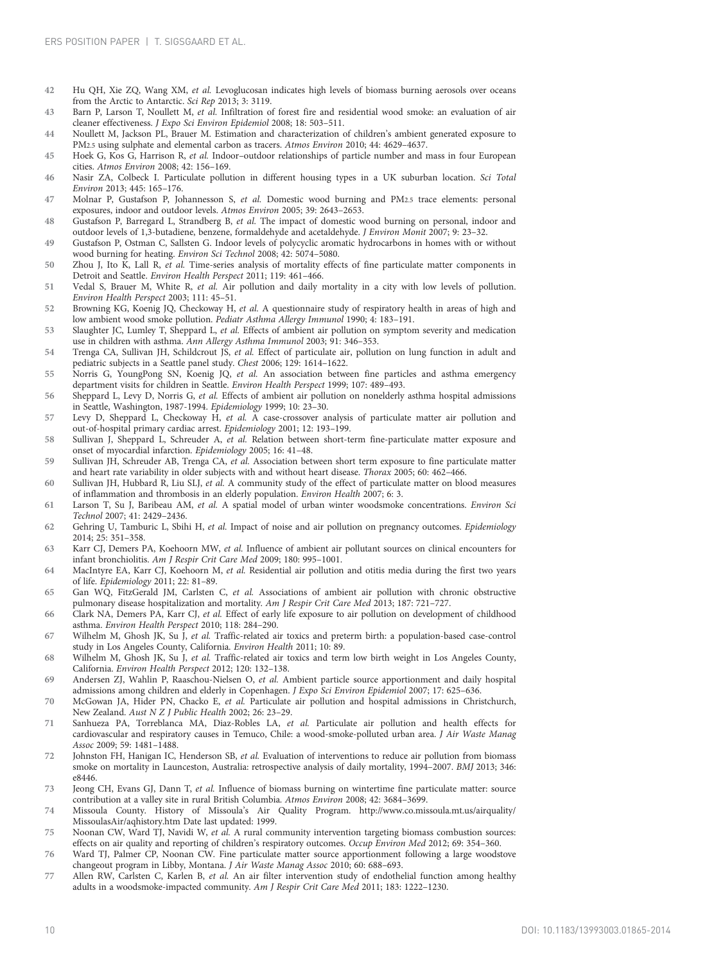- <span id="page-9-0"></span>42 Hu QH, Xie ZQ, Wang XM, et al. Levoglucosan indicates high levels of biomass burning aerosols over oceans from the Arctic to Antarctic. Sci Rep 2013; 3: 3119.
- 43 Barn P, Larson T, Noullett M, et al. Infiltration of forest fire and residential wood smoke: an evaluation of air cleaner effectiveness. J Expo Sci Environ Epidemiol 2008; 18: 503–511.
- 44 Noullett M, Jackson PL, Brauer M. Estimation and characterization of children's ambient generated exposure to PM2.5 using sulphate and elemental carbon as tracers. Atmos Environ 2010; 44: 4629–4637.
- 45 Hoek G, Kos G, Harrison R, et al. Indoor–outdoor relationships of particle number and mass in four European cities. Atmos Environ 2008; 42: 156–169.
- 46 Nasir ZA, Colbeck I. Particulate pollution in different housing types in a UK suburban location. Sci Total Environ 2013; 445: 165–176.
- 47 Molnar P, Gustafson P, Johannesson S, et al. Domestic wood burning and PM2.5 trace elements: personal exposures, indoor and outdoor levels. Atmos Environ 2005; 39: 2643–2653.
- 48 Gustafson P, Barregard L, Strandberg B, et al. The impact of domestic wood burning on personal, indoor and outdoor levels of 1,3-butadiene, benzene, formaldehyde and acetaldehyde. J Environ Monit 2007; 9: 23–32.
- 49 Gustafson P, Ostman C, Sallsten G. Indoor levels of polycyclic aromatic hydrocarbons in homes with or without wood burning for heating. Environ Sci Technol 2008; 42: 5074–5080.
- 50 Zhou J, Ito K, Lall R, et al. Time-series analysis of mortality effects of fine particulate matter components in Detroit and Seattle. Environ Health Perspect 2011; 119: 461–466.
- 51 Vedal S, Brauer M, White R, et al. Air pollution and daily mortality in a city with low levels of pollution. Environ Health Perspect 2003; 111: 45–51.
- 52 Browning KG, Koenig JQ, Checkoway H, et al. A questionnaire study of respiratory health in areas of high and low ambient wood smoke pollution. Pediatr Asthma Allergy Immunol 1990; 4: 183–191.
- 53 Slaughter JC, Lumley T, Sheppard L, et al. Effects of ambient air pollution on symptom severity and medication use in children with asthma. Ann Allergy Asthma Immunol 2003; 91: 346–353.
- 54 Trenga CA, Sullivan JH, Schildcrout JS, et al. Effect of particulate air, pollution on lung function in adult and pediatric subjects in a Seattle panel study. Chest 2006; 129: 1614–1622.
- 55 Norris G, YoungPong SN, Koenig JQ, et al. An association between fine particles and asthma emergency department visits for children in Seattle. Environ Health Perspect 1999; 107: 489–493.
- 56 Sheppard L, Levy D, Norris G, et al. Effects of ambient air pollution on nonelderly asthma hospital admissions in Seattle, Washington, 1987-1994. Epidemiology 1999; 10: 23–30.
- 57 Levy D, Sheppard L, Checkoway H, et al. A case-crossover analysis of particulate matter air pollution and out-of-hospital primary cardiac arrest. Epidemiology 2001; 12: 193–199.
- 58 Sullivan J, Sheppard L, Schreuder A, et al. Relation between short-term fine-particulate matter exposure and onset of myocardial infarction. Epidemiology 2005; 16: 41–48.
- 59 Sullivan JH, Schreuder AB, Trenga CA, et al. Association between short term exposure to fine particulate matter and heart rate variability in older subjects with and without heart disease. Thorax 2005; 60: 462–466.
- 60 Sullivan JH, Hubbard R, Liu SLJ, et al. A community study of the effect of particulate matter on blood measures of inflammation and thrombosis in an elderly population. Environ Health 2007; 6: 3.
- 61 Larson T, Su J, Baribeau AM, et al. A spatial model of urban winter woodsmoke concentrations. Environ Sci Technol 2007; 41: 2429–2436.
- 62 Gehring U, Tamburic L, Sbihi H, et al. Impact of noise and air pollution on pregnancy outcomes. Epidemiology 2014; 25: 351–358.
- 63 Karr CJ, Demers PA, Koehoorn MW, et al. Influence of ambient air pollutant sources on clinical encounters for infant bronchiolitis. Am J Respir Crit Care Med 2009; 180: 995–1001.
- 64 MacIntyre EA, Karr CJ, Koehoorn M, et al. Residential air pollution and otitis media during the first two years of life. Epidemiology 2011; 22: 81–89.
- 65 Gan WQ, FitzGerald JM, Carlsten C, et al. Associations of ambient air pollution with chronic obstructive pulmonary disease hospitalization and mortality. Am J Respir Crit Care Med 2013; 187: 721-727.
- 66 Clark NA, Demers PA, Karr CJ, et al. Effect of early life exposure to air pollution on development of childhood asthma. Environ Health Perspect 2010; 118: 284–290.
- 67 Wilhelm M, Ghosh JK, Su J, et al. Traffic-related air toxics and preterm birth: a population-based case-control study in Los Angeles County, California. Environ Health 2011; 10: 89.
- 68 Wilhelm M, Ghosh JK, Su J, et al. Traffic-related air toxics and term low birth weight in Los Angeles County, California. Environ Health Perspect 2012; 120: 132–138.
- 69 Andersen ZJ, Wahlin P, Raaschou-Nielsen O, et al. Ambient particle source apportionment and daily hospital admissions among children and elderly in Copenhagen. J Expo Sci Environ Epidemiol 2007; 17: 625–636.
- 70 McGowan JA, Hider PN, Chacko E, et al. Particulate air pollution and hospital admissions in Christchurch, New Zealand. Aust N Z J Public Health 2002; 26: 23–29.
- 71 Sanhueza PA, Torreblanca MA, Diaz-Robles LA, et al. Particulate air pollution and health effects for cardiovascular and respiratory causes in Temuco, Chile: a wood-smoke-polluted urban area. J Air Waste Manag Assoc 2009; 59: 1481–1488.
- 72 Johnston FH, Hanigan IC, Henderson SB, et al. Evaluation of interventions to reduce air pollution from biomass smoke on mortality in Launceston, Australia: retrospective analysis of daily mortality, 1994–2007. BMJ 2013; 346: e8446.
- 73 Jeong CH, Evans GJ, Dann T, et al. Influence of biomass burning on wintertime fine particulate matter: source contribution at a valley site in rural British Columbia. Atmos Environ 2008; 42: 3684–3699.
- 74 Missoula County. History of Missoula's Air Quality Program. [http://www.co.missoula.mt.us/airquality/](http://www.co.missoula.mt.us/airquality/MissoulasAir/aqhistory.htm) [MissoulasAir/aqhistory.htm](http://www.co.missoula.mt.us/airquality/MissoulasAir/aqhistory.htm) Date last updated: 1999.
- 75 Noonan CW, Ward TJ, Navidi W, et al. A rural community intervention targeting biomass combustion sources: effects on air quality and reporting of children's respiratory outcomes. Occup Environ Med 2012; 69: 354–360.
- 76 Ward TJ, Palmer CP, Noonan CW. Fine particulate matter source apportionment following a large woodstove changeout program in Libby, Montana. J Air Waste Manag Assoc 2010; 60: 688–693.
- 77 Allen RW, Carlsten C, Karlen B, et al. An air filter intervention study of endothelial function among healthy adults in a woodsmoke-impacted community. Am J Respir Crit Care Med 2011; 183: 1222–1230.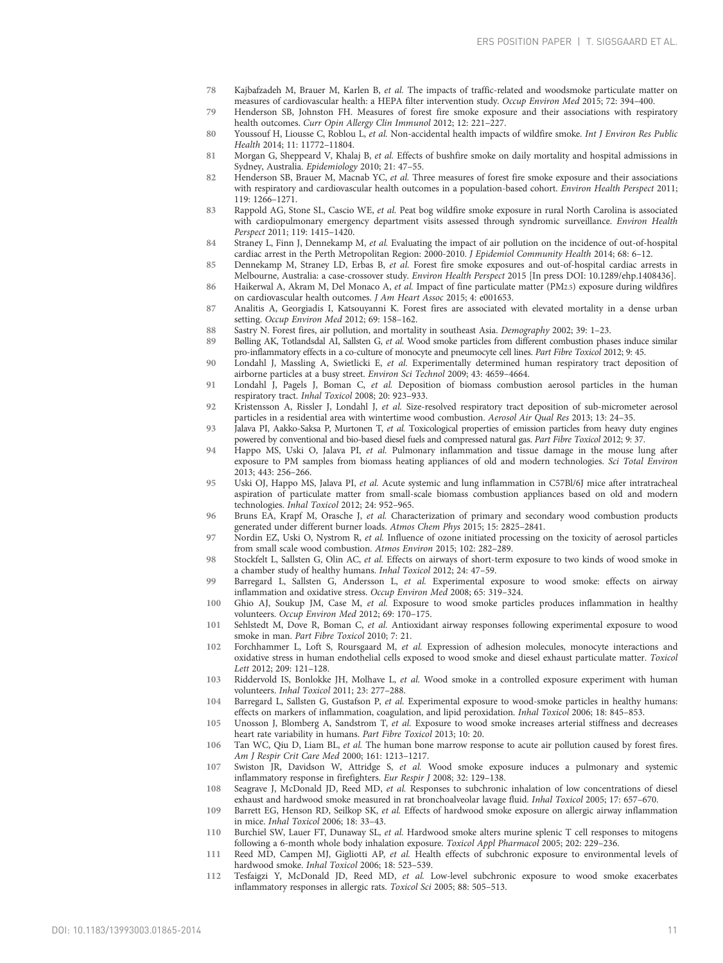- <span id="page-10-0"></span>78 Kajbafzadeh M, Brauer M, Karlen B, et al. The impacts of traffic-related and woodsmoke particulate matter on measures of cardiovascular health: a HEPA filter intervention study. Occup Environ Med 2015; 72: 394–400.
- 79 Henderson SB, Johnston FH. Measures of forest fire smoke exposure and their associations with respiratory health outcomes. Curr Opin Allergy Clin Immunol 2012; 12: 221-227.
- 80 Youssouf H, Liousse C, Roblou L, et al. Non-accidental health impacts of wildfire smoke. Int J Environ Res Public Health 2014; 11: 11772–11804.
- 81 Morgan G, Sheppeard V, Khalaj B, et al. Effects of bushfire smoke on daily mortality and hospital admissions in Sydney, Australia. Epidemiology 2010; 21: 47–55.
- 82 Henderson SB, Brauer M, Macnab YC, et al. Three measures of forest fire smoke exposure and their associations with respiratory and cardiovascular health outcomes in a population-based cohort. Environ Health Perspect 2011; 119: 1266–1271.
- 83 Rappold AG, Stone SL, Cascio WE, et al. Peat bog wildfire smoke exposure in rural North Carolina is associated with cardiopulmonary emergency department visits assessed through syndromic surveillance. Environ Health Perspect 2011; 119: 1415–1420.
- 84 Straney L, Finn J, Dennekamp M, et al. Evaluating the impact of air pollution on the incidence of out-of-hospital cardiac arrest in the Perth Metropolitan Region: 2000-2010. J Epidemiol Community Health 2014; 68: 6–12.
- 85 Dennekamp M, Straney LD, Erbas B, et al. Forest fire smoke exposures and out-of-hospital cardiac arrests in Melbourne, Australia: a case-crossover study. Environ Health Perspect 2015 [In press DOI: 10.1289/ehp.1408436].
- 86 Haikerwal A, Akram M, Del Monaco A, et al. Impact of fine particulate matter (PM2.5) exposure during wildfires on cardiovascular health outcomes. J Am Heart Assoc 2015; 4: e001653.
- 87 Analitis A, Georgiadis I, Katsouyanni K. Forest fires are associated with elevated mortality in a dense urban setting. Occup Environ Med 2012; 69: 158–162.
- 88 Sastry N. Forest fires, air pollution, and mortality in southeast Asia. Demography 2002; 39: 1–23.
- 89 Bølling AK, Totlandsdal AI, Sallsten G, et al. Wood smoke particles from different combustion phases induce similar pro-inflammatory effects in a co-culture of monocyte and pneumocyte cell lines. Part Fibre Toxicol 2012; 9: 45.
- 90 Londahl J, Massling A, Swietlicki E, et al. Experimentally determined human respiratory tract deposition of airborne particles at a busy street. Environ Sci Technol 2009; 43: 4659–4664.
- 91 Londahl J, Pagels J, Boman C, et al. Deposition of biomass combustion aerosol particles in the human respiratory tract. Inhal Toxicol 2008; 20: 923–933.
- 92 Kristensson A, Rissler J, Londahl J, et al. Size-resolved respiratory tract deposition of sub-micrometer aerosol particles in a residential area with wintertime wood combustion. Aerosol Air Qual Res 2013; 13: 24–35.
- 93 Jalava PI, Aakko-Saksa P, Murtonen T, et al. Toxicological properties of emission particles from heavy duty engines powered by conventional and bio-based diesel fuels and compressed natural gas. Part Fibre Toxicol 2012; 9: 37.
- 94 Happo MS, Uski O, Jalava PI, et al. Pulmonary inflammation and tissue damage in the mouse lung after exposure to PM samples from biomass heating appliances of old and modern technologies. Sci Total Environ 2013; 443: 256–266.
- 95 Uski OJ, Happo MS, Jalava PI, et al. Acute systemic and lung inflammation in C57Bl/6J mice after intratracheal aspiration of particulate matter from small-scale biomass combustion appliances based on old and modern technologies. Inhal Toxicol 2012; 24: 952–965.
- 96 Bruns EA, Krapf M, Orasche J, et al. Characterization of primary and secondary wood combustion products generated under different burner loads. Atmos Chem Phys 2015; 15: 2825–2841.
- 97 Nordin EZ, Uski O, Nystrom R, et al. Influence of ozone initiated processing on the toxicity of aerosol particles from small scale wood combustion. Atmos Environ 2015; 102: 282–289.
- 98 Stockfelt L, Sallsten G, Olin AC, et al. Effects on airways of short-term exposure to two kinds of wood smoke in a chamber study of healthy humans. Inhal Toxicol 2012; 24: 47–59.
- 99 Barregard L, Sallsten G, Andersson L, et al. Experimental exposure to wood smoke: effects on airway inflammation and oxidative stress. Occup Environ Med 2008; 65: 319–324.
- 100 Ghio AJ, Soukup JM, Case M, et al. Exposure to wood smoke particles produces inflammation in healthy volunteers. Occup Environ Med 2012; 69: 170–175.
- 101 Sehlstedt M, Dove R, Boman C, et al. Antioxidant airway responses following experimental exposure to wood smoke in man. Part Fibre Toxicol 2010; 7: 21.
- 102 Forchhammer L, Loft S, Roursgaard M, et al. Expression of adhesion molecules, monocyte interactions and oxidative stress in human endothelial cells exposed to wood smoke and diesel exhaust particulate matter. Toxicol Lett 2012; 209: 121–128.
- 103 Riddervold IS, Bonlokke JH, Molhave L, et al. Wood smoke in a controlled exposure experiment with human volunteers. Inhal Toxicol 2011; 23: 277–288.
- 104 Barregard L, Sallsten G, Gustafson P, et al. Experimental exposure to wood-smoke particles in healthy humans: effects on markers of inflammation, coagulation, and lipid peroxidation. Inhal Toxicol 2006; 18: 845–853.
- 105 Unosson J, Blomberg A, Sandstrom T, et al. Exposure to wood smoke increases arterial stiffness and decreases heart rate variability in humans. Part Fibre Toxicol 2013; 10: 20.
- 106 Tan WC, Qiu D, Liam BL, et al. The human bone marrow response to acute air pollution caused by forest fires. Am J Respir Crit Care Med 2000; 161: 1213–1217.
- 107 Swiston JR, Davidson W, Attridge S, et al. Wood smoke exposure induces a pulmonary and systemic inflammatory response in firefighters. Eur Respir J 2008; 32: 129–138.
- 108 Seagrave J, McDonald JD, Reed MD, et al. Responses to subchronic inhalation of low concentrations of diesel exhaust and hardwood smoke measured in rat bronchoalveolar lavage fluid. Inhal Toxicol 2005; 17: 657–670.
- 109 Barrett EG, Henson RD, Seilkop SK, et al. Effects of hardwood smoke exposure on allergic airway inflammation in mice. Inhal Toxicol 2006; 18: 33–43.
- 110 Burchiel SW, Lauer FT, Dunaway SL, et al. Hardwood smoke alters murine splenic T cell responses to mitogens following a 6-month whole body inhalation exposure. Toxicol Appl Pharmacol 2005; 202: 229–236.
- 111 Reed MD, Campen MJ, Gigliotti AP, et al. Health effects of subchronic exposure to environmental levels of hardwood smoke. Inhal Toxicol 2006; 18: 523–539.
- 112 Tesfaigzi Y, McDonald JD, Reed MD, et al. Low-level subchronic exposure to wood smoke exacerbates inflammatory responses in allergic rats. Toxicol Sci 2005; 88: 505–513.